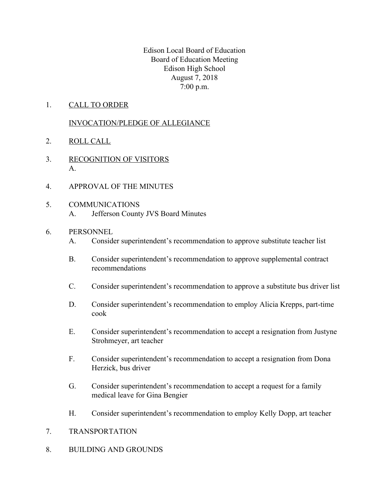Edison Local Board of Education Board of Education Meeting Edison High School August 7, 2018 7:00 p.m.

1. CALL TO ORDER

# INVOCATION/PLEDGE OF ALLEGIANCE

- 2. ROLL CALL
- 3. RECOGNITION OF VISITORS A.
- 4. APPROVAL OF THE MINUTES
- 5. COMMUNICATIONS A. Jefferson County JVS Board Minutes
- 6. PERSONNEL
	- A. Consider superintendent's recommendation to approve substitute teacher list
	- B. Consider superintendent's recommendation to approve supplemental contract recommendations
	- C. Consider superintendent's recommendation to approve a substitute bus driver list
	- D. Consider superintendent's recommendation to employ Alicia Krepps, part-time cook
	- E. Consider superintendent's recommendation to accept a resignation from Justyne Strohmeyer, art teacher
	- F. Consider superintendent's recommendation to accept a resignation from Dona Herzick, bus driver
	- G. Consider superintendent's recommendation to accept a request for a family medical leave for Gina Bengier
	- H. Consider superintendent's recommendation to employ Kelly Dopp, art teacher
- 7. TRANSPORTATION
- 8. BUILDING AND GROUNDS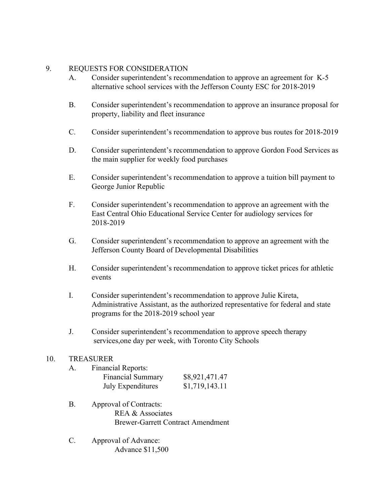## 9. REQUESTS FOR CONSIDERATION

- A. Consider superintendent's recommendation to approve an agreement for K-5 alternative school services with the Jefferson County ESC for 2018-2019
- B. Consider superintendent's recommendation to approve an insurance proposal for property, liability and fleet insurance
- C. Consider superintendent's recommendation to approve bus routes for 2018-2019
- D. Consider superintendent's recommendation to approve Gordon Food Services as the main supplier for weekly food purchases
- E. Consider superintendent's recommendation to approve a tuition bill payment to George Junior Republic
- F. Consider superintendent's recommendation to approve an agreement with the East Central Ohio Educational Service Center for audiology services for 2018-2019
- G. Consider superintendent's recommendation to approve an agreement with the Jefferson County Board of Developmental Disabilities
- H. Consider superintendent's recommendation to approve ticket prices for athletic events
- I. Consider superintendent's recommendation to approve Julie Kireta, Administrative Assistant, as the authorized representative for federal and state programs for the 2018-2019 school year
- J. Consider superintendent's recommendation to approve speech therapy services,one day per week, with Toronto City Schools

## 10. TREASURER

| A. | <b>Financial Reports:</b> |                |
|----|---------------------------|----------------|
|    | <b>Financial Summary</b>  | \$8,921,471.47 |
|    | <b>July Expenditures</b>  | \$1,719,143.11 |

- B. Approval of Contracts: REA & Associates Brewer-Garrett Contract Amendment
- C. Approval of Advance: Advance \$11,500